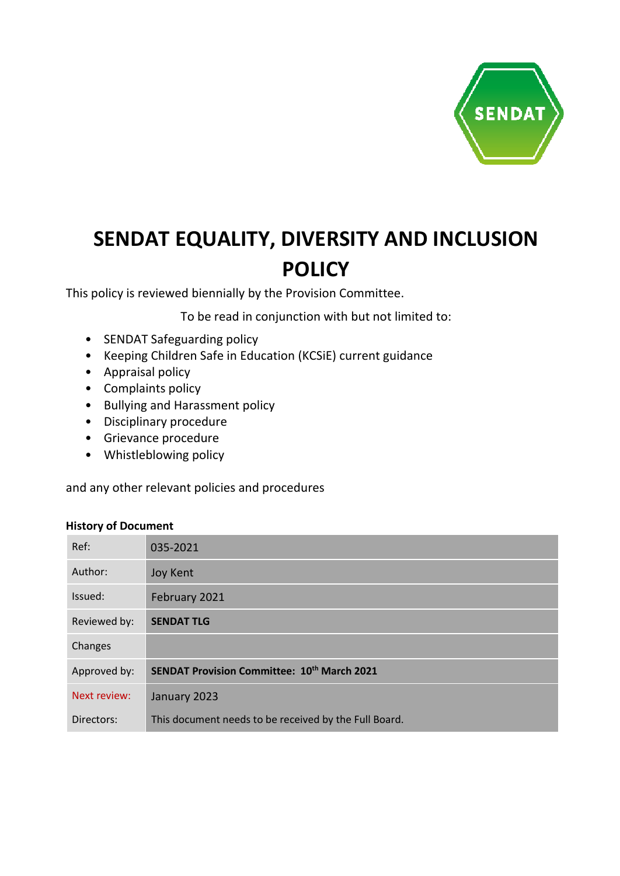

# **SENDAT EQUALITY, DIVERSITY AND INCLUSION POLICY**

This policy is reviewed biennially by the Provision Committee.

To be read in conjunction with but not limited to:

- SENDAT Safeguarding policy
- Keeping Children Safe in Education (KCSiE) current guidance
- Appraisal policy
- Complaints policy
- Bullying and Harassment policy
- Disciplinary procedure
- Grievance procedure
- Whistleblowing policy

and any other relevant policies and procedures

#### **History of Document**

| Ref:         | 035-2021                                              |
|--------------|-------------------------------------------------------|
| Author:      | <b>Joy Kent</b>                                       |
| Issued:      | February 2021                                         |
| Reviewed by: | <b>SENDAT TLG</b>                                     |
| Changes      |                                                       |
| Approved by: | <b>SENDAT Provision Committee: 10th March 2021</b>    |
| Next review: | January 2023                                          |
| Directors:   | This document needs to be received by the Full Board. |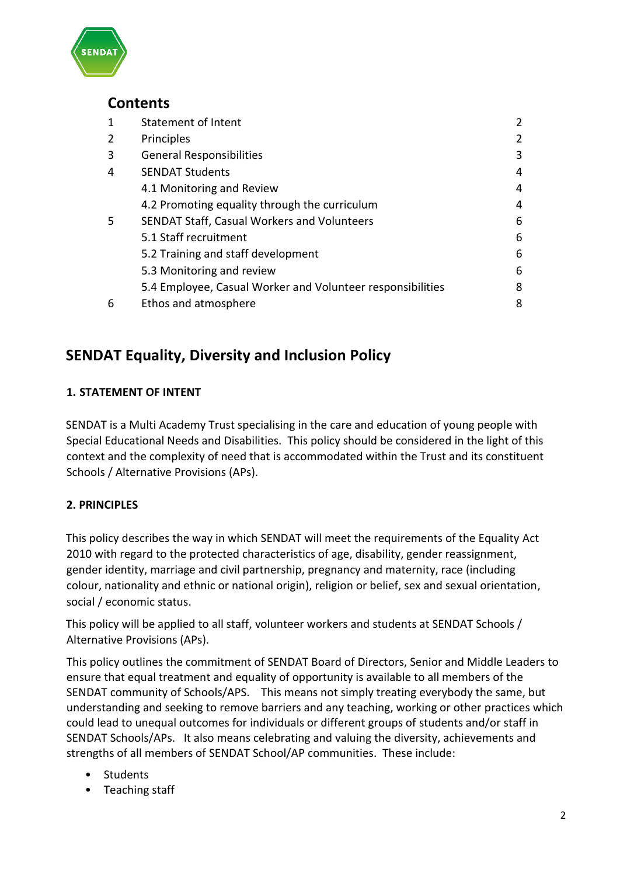

## **Contents**

| 1 | <b>Statement of Intent</b>                                 | $\overline{2}$ |
|---|------------------------------------------------------------|----------------|
| 2 | Principles                                                 | 2              |
| 3 | <b>General Responsibilities</b>                            | 3              |
| 4 | <b>SENDAT Students</b>                                     | 4              |
|   | 4.1 Monitoring and Review                                  | 4              |
|   | 4.2 Promoting equality through the curriculum              | 4              |
| 5 | SENDAT Staff, Casual Workers and Volunteers                | 6              |
|   | 5.1 Staff recruitment                                      | 6              |
|   | 5.2 Training and staff development                         | 6              |
|   | 5.3 Monitoring and review                                  | 6              |
|   | 5.4 Employee, Casual Worker and Volunteer responsibilities | 8              |
| 6 | Ethos and atmosphere                                       | 8              |

## **SENDAT Equality, Diversity and Inclusion Policy**

## **1. STATEMENT OF INTENT**

SENDAT is a Multi Academy Trust specialising in the care and education of young people with Special Educational Needs and Disabilities. This policy should be considered in the light of this context and the complexity of need that is accommodated within the Trust and its constituent Schools / Alternative Provisions (APs).

## **2. PRINCIPLES**

This policy describes the way in which SENDAT will meet the requirements of the Equality Act 2010 with regard to the protected characteristics of age, disability, gender reassignment, gender identity, marriage and civil partnership, pregnancy and maternity, race (including colour, nationality and ethnic or national origin), religion or belief, sex and sexual orientation, social / economic status.

This policy will be applied to all staff, volunteer workers and students at SENDAT Schools / Alternative Provisions (APs).

This policy outlines the commitment of SENDAT Board of Directors, Senior and Middle Leaders to ensure that equal treatment and equality of opportunity is available to all members of the SENDAT community of Schools/APS. This means not simply treating everybody the same, but understanding and seeking to remove barriers and any teaching, working or other practices which could lead to unequal outcomes for individuals or different groups of students and/or staff in SENDAT Schools/APs. It also means celebrating and valuing the diversity, achievements and strengths of all members of SENDAT School/AP communities. These include:

- Students
- Teaching staff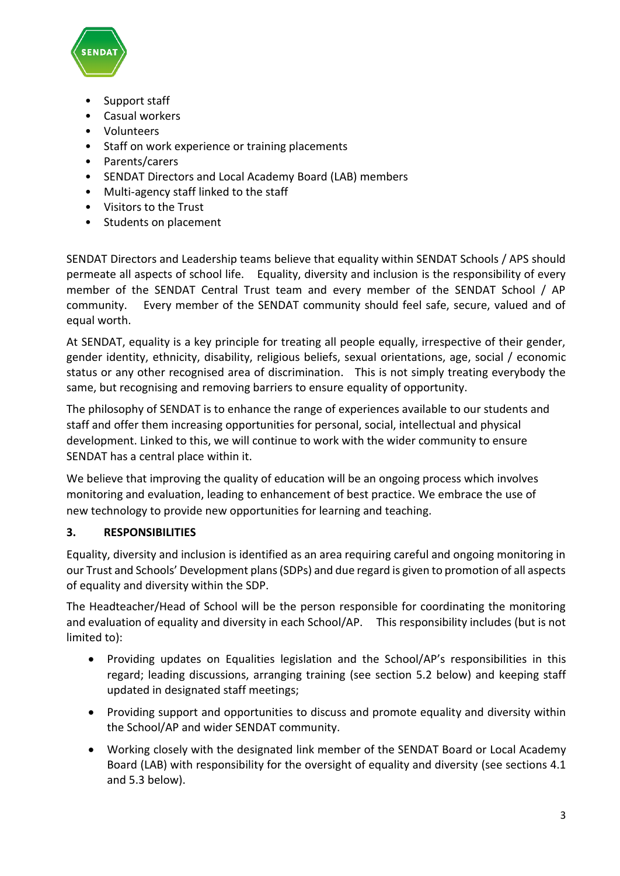

- Support staff
- Casual workers
- Volunteers
- Staff on work experience or training placements
- Parents/carers
- SENDAT Directors and Local Academy Board (LAB) members
- Multi-agency staff linked to the staff
- Visitors to the Trust
- Students on placement

SENDAT Directors and Leadership teams believe that equality within SENDAT Schools / APS should permeate all aspects of school life. Equality, diversity and inclusion is the responsibility of every member of the SENDAT Central Trust team and every member of the SENDAT School / AP community. Every member of the SENDAT community should feel safe, secure, valued and of equal worth.

At SENDAT, equality is a key principle for treating all people equally, irrespective of their gender, gender identity, ethnicity, disability, religious beliefs, sexual orientations, age, social / economic status or any other recognised area of discrimination. This is not simply treating everybody the same, but recognising and removing barriers to ensure equality of opportunity.

The philosophy of SENDAT is to enhance the range of experiences available to our students and staff and offer them increasing opportunities for personal, social, intellectual and physical development. Linked to this, we will continue to work with the wider community to ensure SENDAT has a central place within it.

We believe that improving the quality of education will be an ongoing process which involves monitoring and evaluation, leading to enhancement of best practice. We embrace the use of new technology to provide new opportunities for learning and teaching.

## **3. RESPONSIBILITIES**

Equality, diversity and inclusion is identified as an area requiring careful and ongoing monitoring in our Trust and Schools' Development plans (SDPs) and due regard is given to promotion of all aspects of equality and diversity within the SDP.

The Headteacher/Head of School will be the person responsible for coordinating the monitoring and evaluation of equality and diversity in each School/AP. This responsibility includes (but is not limited to):

- Providing updates on Equalities legislation and the School/AP's responsibilities in this regard; leading discussions, arranging training (see section 5.2 below) and keeping staff updated in designated staff meetings;
- Providing support and opportunities to discuss and promote equality and diversity within the School/AP and wider SENDAT community.
- Working closely with the designated link member of the SENDAT Board or Local Academy Board (LAB) with responsibility for the oversight of equality and diversity (see sections 4.1 and 5.3 below).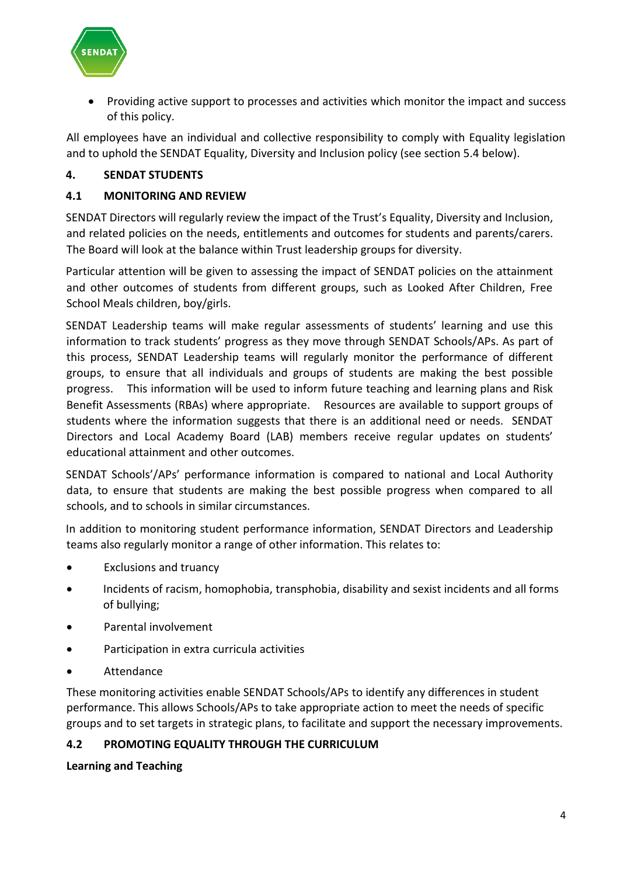

• Providing active support to processes and activities which monitor the impact and success of this policy.

All employees have an individual and collective responsibility to comply with Equality legislation and to uphold the SENDAT Equality, Diversity and Inclusion policy (see section 5.4 below).

## **4. SENDAT STUDENTS**

#### **4.1 MONITORING AND REVIEW**

SENDAT Directors will regularly review the impact of the Trust's Equality, Diversity and Inclusion, and related policies on the needs, entitlements and outcomes for students and parents/carers. The Board will look at the balance within Trust leadership groups for diversity.

Particular attention will be given to assessing the impact of SENDAT policies on the attainment and other outcomes of students from different groups, such as Looked After Children, Free School Meals children, boy/girls.

SENDAT Leadership teams will make regular assessments of students' learning and use this information to track students' progress as they move through SENDAT Schools/APs. As part of this process, SENDAT Leadership teams will regularly monitor the performance of different groups, to ensure that all individuals and groups of students are making the best possible progress. This information will be used to inform future teaching and learning plans and Risk Benefit Assessments (RBAs) where appropriate. Resources are available to support groups of students where the information suggests that there is an additional need or needs. SENDAT Directors and Local Academy Board (LAB) members receive regular updates on students' educational attainment and other outcomes.

SENDAT Schools'/APs' performance information is compared to national and Local Authority data, to ensure that students are making the best possible progress when compared to all schools, and to schools in similar circumstances.

In addition to monitoring student performance information, SENDAT Directors and Leadership teams also regularly monitor a range of other information. This relates to:

- Exclusions and truancy
- Incidents of racism, homophobia, transphobia, disability and sexist incidents and all forms of bullying;
- Parental involvement
- Participation in extra curricula activities
- **Attendance**

These monitoring activities enable SENDAT Schools/APs to identify any differences in student performance. This allows Schools/APs to take appropriate action to meet the needs of specific groups and to set targets in strategic plans, to facilitate and support the necessary improvements.

#### **4.2 PROMOTING EQUALITY THROUGH THE CURRICULUM**

**Learning and Teaching**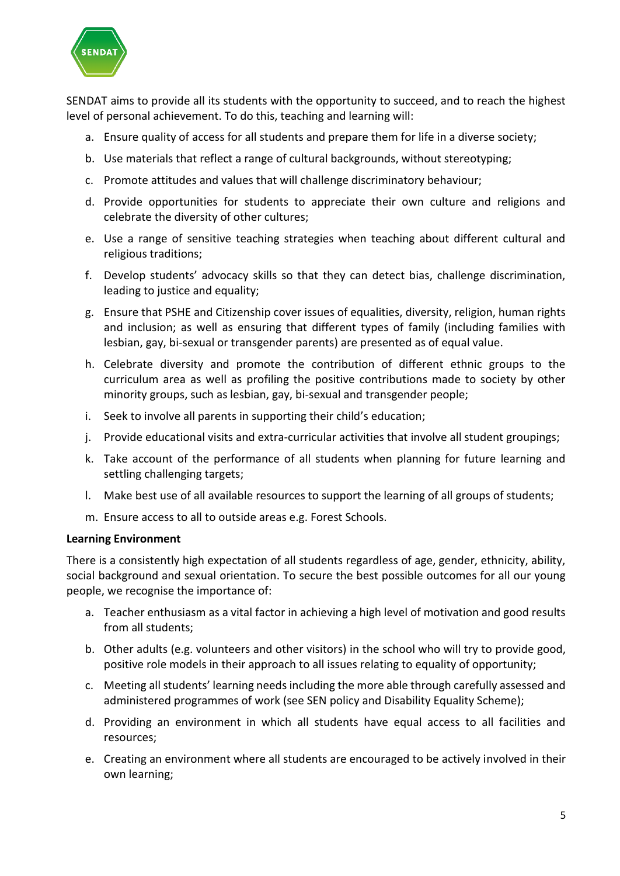

SENDAT aims to provide all its students with the opportunity to succeed, and to reach the highest level of personal achievement. To do this, teaching and learning will:

- a. Ensure quality of access for all students and prepare them for life in a diverse society;
- b. Use materials that reflect a range of cultural backgrounds, without stereotyping;
- c. Promote attitudes and values that will challenge discriminatory behaviour;
- d. Provide opportunities for students to appreciate their own culture and religions and celebrate the diversity of other cultures;
- e. Use a range of sensitive teaching strategies when teaching about different cultural and religious traditions;
- f. Develop students' advocacy skills so that they can detect bias, challenge discrimination, leading to justice and equality;
- g. Ensure that PSHE and Citizenship cover issues of equalities, diversity, religion, human rights and inclusion; as well as ensuring that different types of family (including families with lesbian, gay, bi-sexual or transgender parents) are presented as of equal value.
- h. Celebrate diversity and promote the contribution of different ethnic groups to the curriculum area as well as profiling the positive contributions made to society by other minority groups, such as lesbian, gay, bi-sexual and transgender people;
- i. Seek to involve all parents in supporting their child's education;
- j. Provide educational visits and extra-curricular activities that involve all student groupings;
- k. Take account of the performance of all students when planning for future learning and settling challenging targets;
- l. Make best use of all available resources to support the learning of all groups of students;
- m. Ensure access to all to outside areas e.g. Forest Schools.

#### **Learning Environment**

There is a consistently high expectation of all students regardless of age, gender, ethnicity, ability, social background and sexual orientation. To secure the best possible outcomes for all our young people, we recognise the importance of:

- a. Teacher enthusiasm as a vital factor in achieving a high level of motivation and good results from all students;
- b. Other adults (e.g. volunteers and other visitors) in the school who will try to provide good, positive role models in their approach to all issues relating to equality of opportunity;
- c. Meeting all students' learning needs including the more able through carefully assessed and administered programmes of work (see SEN policy and Disability Equality Scheme);
- d. Providing an environment in which all students have equal access to all facilities and resources;
- e. Creating an environment where all students are encouraged to be actively involved in their own learning;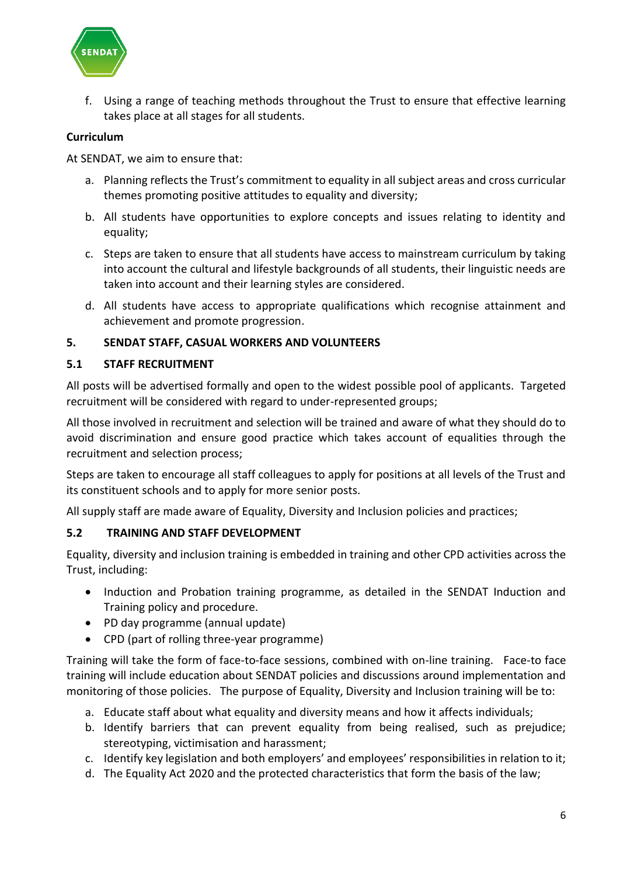

f. Using a range of teaching methods throughout the Trust to ensure that effective learning takes place at all stages for all students.

## **Curriculum**

At SENDAT, we aim to ensure that:

- a. Planning reflects the Trust's commitment to equality in all subject areas and cross curricular themes promoting positive attitudes to equality and diversity;
- b. All students have opportunities to explore concepts and issues relating to identity and equality;
- c. Steps are taken to ensure that all students have access to mainstream curriculum by taking into account the cultural and lifestyle backgrounds of all students, their linguistic needs are taken into account and their learning styles are considered.
- d. All students have access to appropriate qualifications which recognise attainment and achievement and promote progression.

#### **5. SENDAT STAFF, CASUAL WORKERS AND VOLUNTEERS**

#### **5.1 STAFF RECRUITMENT**

All posts will be advertised formally and open to the widest possible pool of applicants. Targeted recruitment will be considered with regard to under-represented groups;

All those involved in recruitment and selection will be trained and aware of what they should do to avoid discrimination and ensure good practice which takes account of equalities through the recruitment and selection process;

Steps are taken to encourage all staff colleagues to apply for positions at all levels of the Trust and its constituent schools and to apply for more senior posts.

All supply staff are made aware of Equality, Diversity and Inclusion policies and practices;

#### **5.2 TRAINING AND STAFF DEVELOPMENT**

Equality, diversity and inclusion training is embedded in training and other CPD activities across the Trust, including:

- Induction and Probation training programme, as detailed in the SENDAT Induction and Training policy and procedure.
- PD day programme (annual update)
- CPD (part of rolling three-year programme)

Training will take the form of face-to-face sessions, combined with on-line training. Face-to face training will include education about SENDAT policies and discussions around implementation and monitoring of those policies. The purpose of Equality, Diversity and Inclusion training will be to:

- a. Educate staff about what equality and diversity means and how it affects individuals;
- b. Identify barriers that can prevent equality from being realised, such as prejudice; stereotyping, victimisation and harassment;
- c. Identify key legislation and both employers' and employees' responsibilities in relation to it;
- d. The Equality Act 2020 and the protected characteristics that form the basis of the law;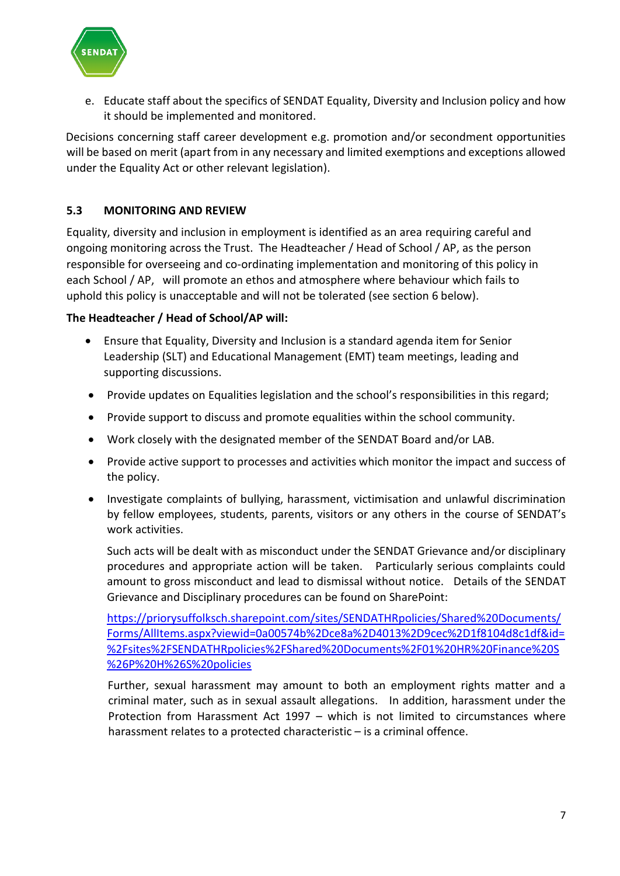

e. Educate staff about the specifics of SENDAT Equality, Diversity and Inclusion policy and how it should be implemented and monitored.

Decisions concerning staff career development e.g. promotion and/or secondment opportunities will be based on merit (apart from in any necessary and limited exemptions and exceptions allowed under the Equality Act or other relevant legislation).

## **5.3 MONITORING AND REVIEW**

Equality, diversity and inclusion in employment is identified as an area requiring careful and ongoing monitoring across the Trust. The Headteacher / Head of School / AP, as the person responsible for overseeing and co-ordinating implementation and monitoring of this policy in each School / AP, will promote an ethos and atmosphere where behaviour which fails to uphold this policy is unacceptable and will not be tolerated (see section 6 below).

## **The Headteacher / Head of School/AP will:**

- Ensure that Equality, Diversity and Inclusion is a standard agenda item for Senior Leadership (SLT) and Educational Management (EMT) team meetings, leading and supporting discussions.
- Provide updates on Equalities legislation and the school's responsibilities in this regard;
- Provide support to discuss and promote equalities within the school community.
- Work closely with the designated member of the SENDAT Board and/or LAB.
- Provide active support to processes and activities which monitor the impact and success of the policy.
- Investigate complaints of bullying, harassment, victimisation and unlawful discrimination by fellow employees, students, parents, visitors or any others in the course of SENDAT's work activities.

Such acts will be dealt with as misconduct under the SENDAT Grievance and/or disciplinary procedures and appropriate action will be taken. Particularly serious complaints could amount to gross misconduct and lead to dismissal without notice. Details of the SENDAT Grievance and Disciplinary procedures can be found on SharePoint:

[https://priorysuffolksch.sharepoint.com/sites/SENDATHRpolicies/Shared%20Documents/](https://priorysuffolksch.sharepoint.com/sites/SENDATHRpolicies/Shared%20Documents/Forms/AllItems.aspx?viewid=0a00574b%2Dce8a%2D4013%2D9cec%2D1f8104d8c1df&id=%2Fsites%2FSENDATHRpolicies%2FShared%20Documents%2F01%20HR%20Finance%20S%26P%20H%26S%20policies) [Forms/AllItems.aspx?viewid=0a00574b%2Dce8a%2D4013%2D9cec%2D1f8104d8c1df&id=](https://priorysuffolksch.sharepoint.com/sites/SENDATHRpolicies/Shared%20Documents/Forms/AllItems.aspx?viewid=0a00574b%2Dce8a%2D4013%2D9cec%2D1f8104d8c1df&id=%2Fsites%2FSENDATHRpolicies%2FShared%20Documents%2F01%20HR%20Finance%20S%26P%20H%26S%20policies) [%2Fsites%2FSENDATHRpolicies%2FShared%20Documents%2F01%20HR%20Finance%20S](https://priorysuffolksch.sharepoint.com/sites/SENDATHRpolicies/Shared%20Documents/Forms/AllItems.aspx?viewid=0a00574b%2Dce8a%2D4013%2D9cec%2D1f8104d8c1df&id=%2Fsites%2FSENDATHRpolicies%2FShared%20Documents%2F01%20HR%20Finance%20S%26P%20H%26S%20policies) [%26P%20H%26S%20policies](https://priorysuffolksch.sharepoint.com/sites/SENDATHRpolicies/Shared%20Documents/Forms/AllItems.aspx?viewid=0a00574b%2Dce8a%2D4013%2D9cec%2D1f8104d8c1df&id=%2Fsites%2FSENDATHRpolicies%2FShared%20Documents%2F01%20HR%20Finance%20S%26P%20H%26S%20policies)

Further, sexual harassment may amount to both an employment rights matter and a criminal mater, such as in sexual assault allegations. In addition, harassment under the Protection from Harassment Act 1997 – which is not limited to circumstances where harassment relates to a protected characteristic – is a criminal offence.